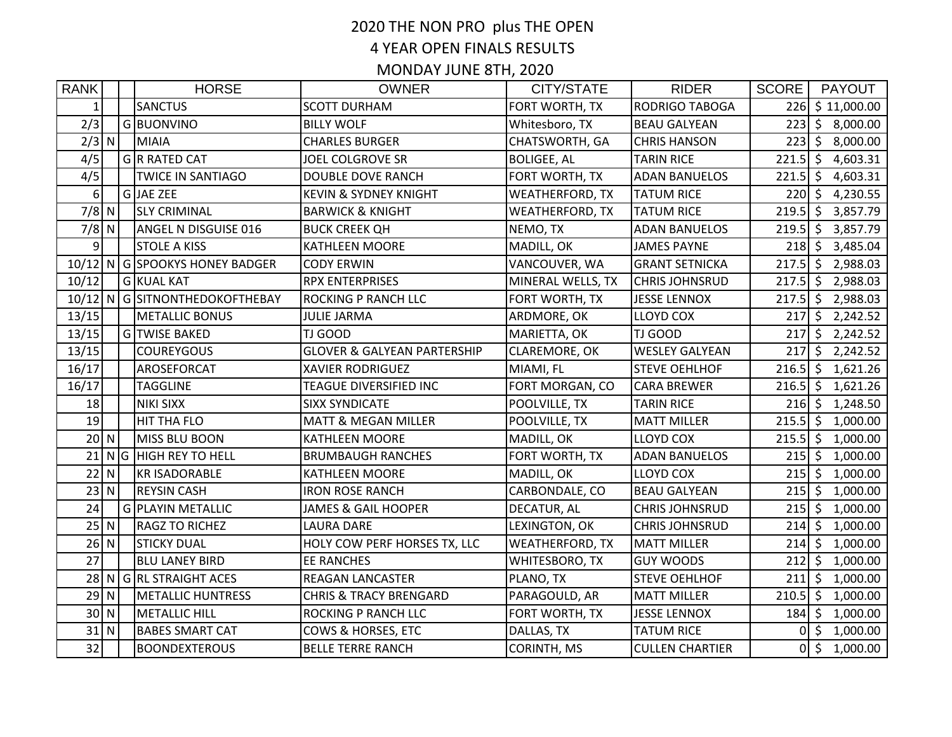## 2020 THE NON PRO plus THE OPEN 4 YEAR OPEN FINALS RESULTS

MONDAY JUNE 8TH, 2020

| <b>RANK</b>    |   | <b>HORSE</b>                   | <b>OWNER</b>                           | CITY/STATE             | <b>RIDER</b>           | <b>SCORE</b>     |              | <b>PAYOUT</b>              |
|----------------|---|--------------------------------|----------------------------------------|------------------------|------------------------|------------------|--------------|----------------------------|
| 1 <sup>1</sup> |   | <b>SANCTUS</b>                 | <b>SCOTT DURHAM</b>                    | FORT WORTH, TX         | <b>RODRIGO TABOGA</b>  |                  |              | 226 \$11,000.00            |
| 2/3            |   | G BUONVINO                     | <b>BILLY WOLF</b>                      | Whitesboro, TX         | <b>BEAU GALYEAN</b>    |                  |              | $223 \mid 5 \mid 8,000.00$ |
| $2/3$ N        |   | MIAIA                          | <b>CHARLES BURGER</b>                  | CHATSWORTH, GA         | <b>CHRIS HANSON</b>    | $223$ \$         |              | 8,000.00                   |
| 4/5            |   | G R RATED CAT                  | JOEL COLGROVE SR                       | <b>BOLIGEE, AL</b>     | <b>TARIN RICE</b>      | $221.5$ \$       |              | 4,603.31                   |
| 4/5            |   | <b>TWICE IN SANTIAGO</b>       | DOUBLE DOVE RANCH                      | FORT WORTH, TX         | <b>ADAN BANUELOS</b>   | $221.5$ \$       |              | 4,603.31                   |
| $6 \mid$       |   | G JAE ZEE                      | <b>KEVIN &amp; SYDNEY KNIGHT</b>       | <b>WEATHERFORD, TX</b> | <b>TATUM RICE</b>      | $220 \mid 5$     |              | 4,230.55                   |
| $7/8$ N        |   | <b>SLY CRIMINAL</b>            | <b>BARWICK &amp; KNIGHT</b>            | WEATHERFORD, TX        | <b>TATUM RICE</b>      | $219.5$ \$       |              | 3,857.79                   |
| $7/8$ N        |   | ANGEL N DISGUISE 016           | <b>BUCK CREEK QH</b>                   | NEMO, TX               | <b>ADAN BANUELOS</b>   | $219.5$ \$       |              | 3,857.79                   |
| 9 <sub>l</sub> |   | <b>STOLE A KISS</b>            | KATHLEEN MOORE                         | MADILL, OK             | <b>JAMES PAYNE</b>     |                  |              | $218 \mid \xi$ 3,485.04    |
|                |   | 10/12 N G SPOOKYS HONEY BADGER | <b>CODY ERWIN</b>                      | VANCOUVER, WA          | <b>GRANT SETNICKA</b>  | $217.5$ \$       |              | 2,988.03                   |
| 10/12          |   | G KUAL KAT                     | <b>RPX ENTERPRISES</b>                 | MINERAL WELLS, TX      | <b>CHRIS JOHNSRUD</b>  | $217.5$ \$       |              | 2,988.03                   |
|                |   | 10/12 N G SITNONTHEDOKOFTHEBAY | ROCKING P RANCH LLC                    | FORT WORTH, TX         | <b>JESSE LENNOX</b>    | $217.5$ \$       |              | 2,988.03                   |
| 13/15          |   | <b>METALLIC BONUS</b>          | <b>JULIE JARMA</b>                     | ARDMORE, OK            | <b>LLOYD COX</b>       | $217 \, \s$      |              | 2,242.52                   |
| 13/15          |   | G TWISE BAKED                  | TJ GOOD                                | MARIETTA, OK           | <b>TJ GOOD</b>         | $217$ \$         |              | 2,242.52                   |
| 13/15          |   | <b>COUREYGOUS</b>              | <b>GLOVER &amp; GALYEAN PARTERSHIP</b> | CLAREMORE, OK          | <b>WESLEY GALYEAN</b>  | $217 \, \s$      |              | 2,242.52                   |
| 16/17          |   | AROSEFORCAT                    | <b>XAVIER RODRIGUEZ</b>                | MIAMI, FL              | <b>STEVE OEHLHOF</b>   | $216.5$ \$       |              | 1,621.26                   |
| 16/17          |   | <b>TAGGLINE</b>                | TEAGUE DIVERSIFIED INC                 | FORT MORGAN, CO        | <b>CARA BREWER</b>     | $216.5$ \$       |              | 1,621.26                   |
| 18             |   | <b>NIKI SIXX</b>               | <b>SIXX SYNDICATE</b>                  | POOLVILLE, TX          | <b>TARIN RICE</b>      | $216 \mid 5$     |              | 1,248.50                   |
| 19             |   | <b>HIT THA FLO</b>             | <b>MATT &amp; MEGAN MILLER</b>         | POOLVILLE, TX          | <b>MATT MILLER</b>     | $215.5$ \$       |              | 1,000.00                   |
| $20$ N         |   | MISS BLU BOON                  | <b>KATHLEEN MOORE</b>                  | MADILL, OK             | <b>LLOYD COX</b>       | $215.5$ \$       |              | 1,000.00                   |
| 21             |   | NG HIGH REY TO HELL            | <b>BRUMBAUGH RANCHES</b>               | FORT WORTH, TX         | <b>ADAN BANUELOS</b>   | $215$ \$         |              | 1,000.00                   |
| 22             | N | <b>KR ISADORABLE</b>           | <b>KATHLEEN MOORE</b>                  | MADILL, OK             | <b>LLOYD COX</b>       | $215$ \$         |              | 1,000.00                   |
| 23             | N | <b>REYSIN CASH</b>             | <b>IRON ROSE RANCH</b>                 | CARBONDALE, CO         | <b>BEAU GALYEAN</b>    | $215$ \$         |              | 1,000.00                   |
| 24             |   | <b>G PLAYIN METALLIC</b>       | <b>JAMES &amp; GAIL HOOPER</b>         | <b>DECATUR, AL</b>     | <b>CHRIS JOHNSRUD</b>  | $215 \mid \zeta$ |              | 1,000.00                   |
| $25$ N         |   | <b>RAGZ TO RICHEZ</b>          | <b>LAURA DARE</b>                      | LEXINGTON, OK          | <b>CHRIS JOHNSRUD</b>  | $214 \mid 5$     |              | 1,000.00                   |
| $26$ N         |   | <b>STICKY DUAL</b>             | HOLY COW PERF HORSES TX, LLC           | <b>WEATHERFORD, TX</b> | <b>MATT MILLER</b>     | $214$ \$         |              | 1,000.00                   |
| 27             |   | <b>BLU LANEY BIRD</b>          | <b>EE RANCHES</b>                      | WHITESBORO, TX         | <b>GUY WOODS</b>       | $212 \mid 5$     |              | 1,000.00                   |
| 28             |   | N G RL STRAIGHT ACES           | REAGAN LANCASTER                       | PLANO, TX              | <b>STEVE OEHLHOF</b>   | $211 \mid 5$     |              | 1,000.00                   |
| $29$ N         |   | <b>METALLIC HUNTRESS</b>       | <b>CHRIS &amp; TRACY BRENGARD</b>      | PARAGOULD, AR          | MATT MILLER            | $210.5$ \$       |              | 1,000.00                   |
| $30$ N         |   | <b>METALLIC HILL</b>           | ROCKING P RANCH LLC                    | FORT WORTH, TX         | <b>JESSE LENNOX</b>    | $184 \mid 5$     |              | 1,000.00                   |
| 31             | N | <b>BABES SMART CAT</b>         | COWS & HORSES, ETC                     | DALLAS, TX             | <b>TATUM RICE</b>      |                  | $0 \mid 5$   | 1,000.00                   |
| 32             |   | <b>BOONDEXTEROUS</b>           | <b>BELLE TERRE RANCH</b>               | <b>CORINTH, MS</b>     | <b>CULLEN CHARTIER</b> |                  | $0 \mid \xi$ | 1,000.00                   |